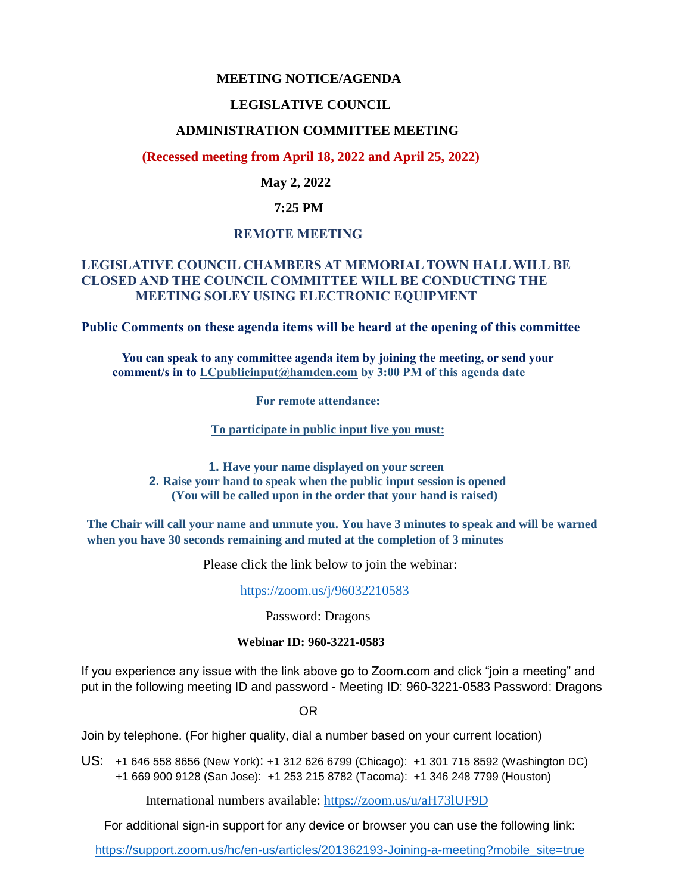## **MEETING NOTICE/AGENDA**

## **LEGISLATIVE COUNCIL**

### **ADMINISTRATION COMMITTEE MEETING**

 **(Recessed meeting from April 18, 2022 and April 25, 2022)**

#### **May 2, 2022**

### **7:25 PM**

#### **REMOTE MEETING**

## **LEGISLATIVE COUNCIL CHAMBERS AT MEMORIAL TOWN HALL WILL BE CLOSED AND THE COUNCIL COMMITTEE WILL BE CONDUCTING THE MEETING SOLEY USING ELECTRONIC EQUIPMENT**

**Public Comments on these agenda items will be heard at the opening of this committee** 

 **You can speak to any committee agenda item by joining the meeting, or send your comment/s in to [LCpublicinput@hamden.com](mailto:LCpublicinput@hamden.com) by 3:00 PM of this agenda date**

 **For remote attendance:**

**To participate in public input live you must:**

**1. Have your name displayed on your screen 2. Raise your hand to speak when the public input session is opened (You will be called upon in the order that your hand is raised)**

**The Chair will call your name and unmute you. You have 3 minutes to speak and will be warned when you have 30 seconds remaining and muted at the completion of 3 minutes**

Please click the link below to join the webinar:

<https://zoom.us/j/96032210583>

Password: Dragons

#### **Webinar ID: 960-3221-0583**

If you experience any issue with the link above go to Zoom.com and click "join a meeting" and put in the following meeting ID and password - Meeting ID: 960-3221-0583 Password: Dragons

OR

Join by telephone. (For higher quality, dial a number based on your current location)

US: [+1 646 558 8656 \(New York\)](tel:+16465588656): [+1 312 626 6799 \(Chicago\):](tel:+13126266799) [+1 301 715 8592 \(Washington DC\)](tel:+13017158592) +1 669 900 9128 (San Jose): [+1 253 215 8782 \(Tacoma\):](tel:+12532158782) [+1 346 248 7799 \(Houston\)](tel:+13462487799)

International numbers available:<https://zoom.us/u/aH73lUF9D>

For additional sign-in support for any device or browser you can use the following link:

[https://support.zoom.us/hc/en-us/articles/201362193-Joining-a-meeting?mobile\\_site=true](https://support.zoom.us/hc/en-us/articles/201362193-Joining-a-meeting?mobile_site=true)